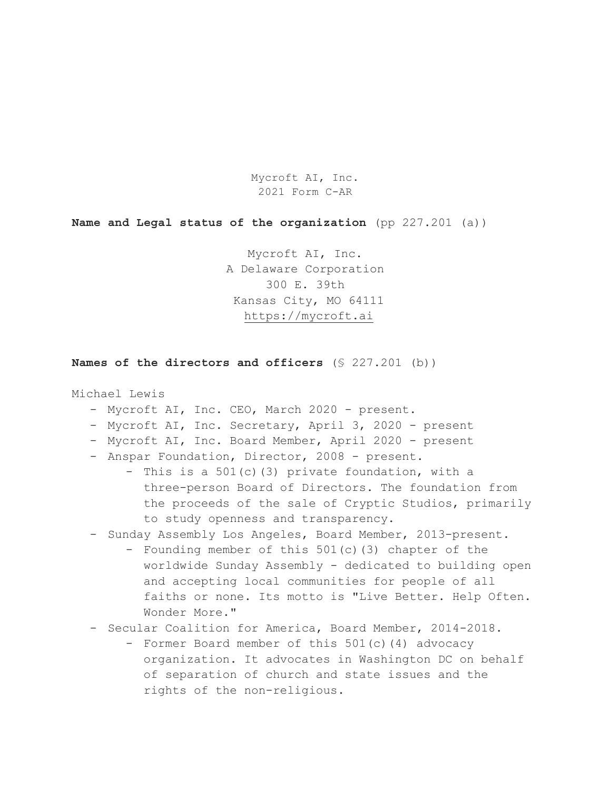Mycroft AI, Inc. 2021 Form C-AR

**Name and Legal status of the organization** (pp 227.201 (a))

Mycroft AI, Inc. A Delaware Corporation 300 E. 39th Kansas City, MO 64111 https://mycroft.ai

**Names of the directors and officers** (§ 227.201 (b))

Michael Lewis

- Mycroft AI, Inc. CEO, March 2020 present.
- Mycroft AI, Inc. Secretary, April 3, 2020 present
- Mycroft AI, Inc. Board Member, April 2020 present
- Anspar Foundation, Director, 2008 present.
	- This is a 501(c)(3) private foundation, with a three-person Board of Directors. The foundation from the proceeds of the sale of Cryptic Studios, primarily to study openness and transparency.
- Sunday Assembly Los Angeles, Board Member, 2013-present.
	- Founding member of this 501(c)(3) chapter of the worldwide Sunday Assembly - dedicated to building open and accepting local communities for people of all faiths or none. Its motto is "Live Better. Help Often. Wonder More."
- Secular Coalition for America, Board Member, 2014-2018.
	- Former Board member of this 501(c)(4) advocacy organization. It advocates in Washington DC on behalf of separation of church and state issues and the rights of the non-religious.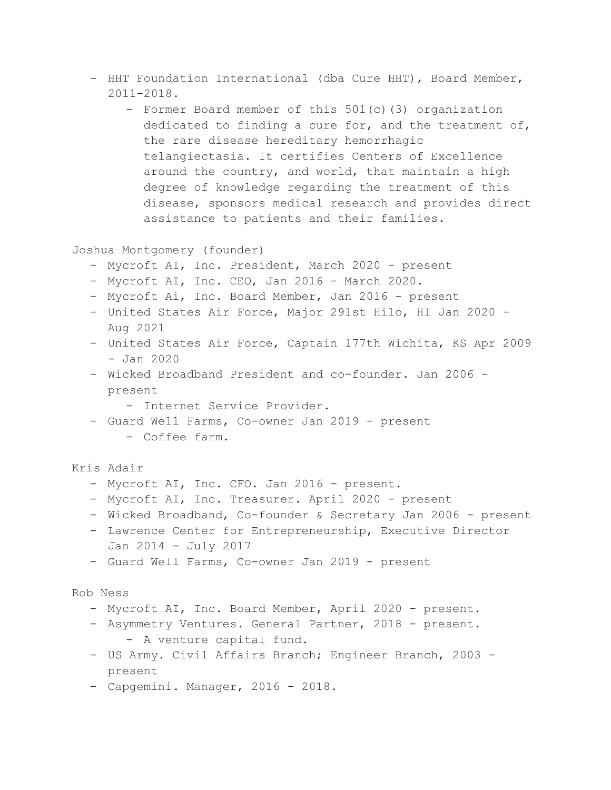- HHT Foundation International (dba Cure HHT), Board Member, 2011-2018.
	- Former Board member of this 501(c)(3) organization dedicated to finding a cure for, and the treatment of, the rare disease hereditary hemorrhagic telangiectasia. It certifies Centers of Excellence around the country, and world, that maintain a high degree of knowledge regarding the treatment of this disease, sponsors medical research and provides direct assistance to patients and their families.

Joshua Montgomery (founder)

- Mycroft AI, Inc. President, March 2020 present
- Mycroft AI, Inc. CEO, Jan 2016 March 2020.
- Mycroft Ai, Inc. Board Member, Jan 2016 present
- United States Air Force, Major 291st Hilo, HI Jan 2020 Aug 2021
- United States Air Force, Captain 177th Wichita, KS Apr 2009 - Jan 2020
- Wicked Broadband President and co-founder. Jan 2006 present
	- Internet Service Provider.
- Guard Well Farms, Co-owner Jan 2019 present - Coffee farm.

Kris Adair

- Mycroft AI, Inc. CFO. Jan 2016 present.
- Mycroft AI, Inc. Treasurer. April 2020 present
- Wicked Broadband, Co-founder & Secretary Jan 2006 present
- Lawrence Center for Entrepreneurship, Executive Director Jan 2014 - July 2017
- Guard Well Farms, Co-owner Jan 2019 present

Rob Ness

- Mycroft AI, Inc. Board Member, April 2020 present.
- Asymmetry Ventures. General Partner, 2018 present. - A venture capital fund.
- US Army. Civil Affairs Branch; Engineer Branch, 2003 present
- Capgemini. Manager, 2016 2018.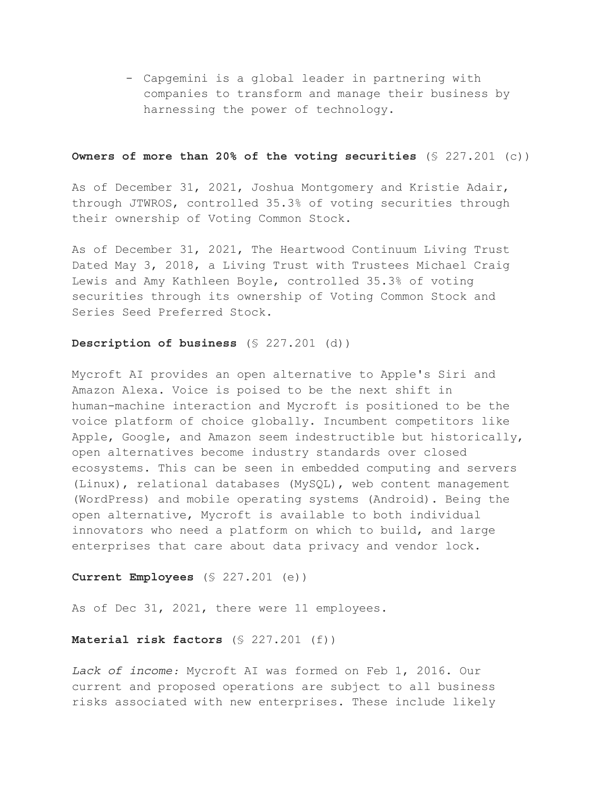- Capgemini is a global leader in partnering with companies to transform and manage their business by harnessing the power of technology.

# **Owners of more than 20% of the voting securities** (§ 227.201 (c))

As of December 31, 2021, Joshua Montgomery and Kristie Adair, through JTWROS, controlled 35.3% of voting securities through their ownership of Voting Common Stock.

As of December 31, 2021, The Heartwood Continuum Living Trust Dated May 3, 2018, a Living Trust with Trustees Michael Craig Lewis and Amy Kathleen Boyle, controlled 35.3% of voting securities through its ownership of Voting Common Stock and Series Seed Preferred Stock.

### **Description of business** (§ 227.201 (d))

Mycroft AI provides an open alternative to Apple's Siri and Amazon Alexa. Voice is poised to be the next shift in human-machine interaction and Mycroft is positioned to be the voice platform of choice globally. Incumbent competitors like Apple, Google, and Amazon seem indestructible but historically, open alternatives become industry standards over closed ecosystems. This can be seen in embedded computing and servers (Linux), relational databases (MySQL), web content management (WordPress) and mobile operating systems (Android). Being the open alternative, Mycroft is available to both individual innovators who need a platform on which to build, and large enterprises that care about data privacy and vendor lock.

# **Current Employees** (§ 227.201 (e))

As of Dec 31, 2021, there were 11 employees.

#### **Material risk factors** (§ 227.201 (f))

Lack of income: Mycroft AI was formed on Feb 1, 2016. Our current and proposed operations are subject to all business risks associated with new enterprises. These include likely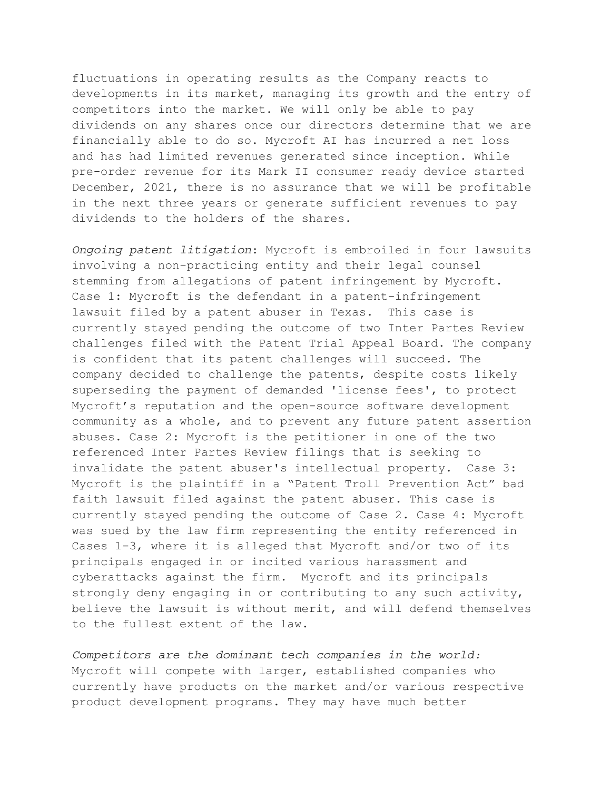fluctuations in operating results as the Company reacts to developments in its market, managing its growth and the entry of competitors into the market. We will only be able to pay dividends on any shares once our directors determine that we are financially able to do so. Mycroft AI has incurred a net loss and has had limited revenues generated since inception. While pre-order revenue for its Mark II consumer ready device started December, 2021, there is no assurance that we will be profitable in the next three years or generate sufficient revenues to pay dividends to the holders of the shares.

*Ongoing patent litigation*: Mycroft is embroiled in four lawsuits involving a non-practicing entity and their legal counsel stemming from allegations of patent infringement by Mycroft. Case 1: Mycroft is the defendant in a patent-infringement lawsuit filed by a patent abuser in Texas. This case is currently stayed pending the outcome of two Inter Partes Review challenges filed with the Patent Trial Appeal Board. The company is confident that its patent challenges will succeed. The company decided to challenge the patents, despite costs likely superseding the payment of demanded 'license fees', to protect Mycroft's reputation and the open-source software development community as a whole, and to prevent any future patent assertion abuses. Case 2: Mycroft is the petitioner in one of the two referenced Inter Partes Review filings that is seeking to invalidate the patent abuser's intellectual property. Case 3: Mycroft is the plaintiff in a "Patent Troll Prevention Act" bad faith lawsuit filed against the patent abuser. This case is currently stayed pending the outcome of Case 2. Case 4: Mycroft was sued by the law firm representing the entity referenced in Cases 1-3, where it is alleged that Mycroft and/or two of its principals engaged in or incited various harassment and cyberattacks against the firm. Mycroft and its principals strongly deny engaging in or contributing to any such activity, believe the lawsuit is without merit, and will defend themselves to the fullest extent of the law.

*Competitors are the dominant tech companies in the world:* Mycroft will compete with larger, established companies who currently have products on the market and/or various respective product development programs. They may have much better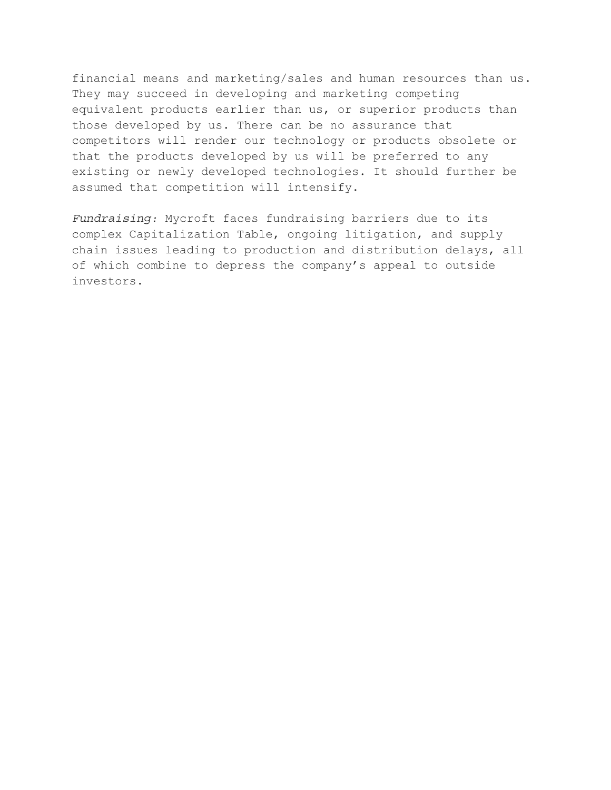financial means and marketing/sales and human resources than us. They may succeed in developing and marketing competing equivalent products earlier than us, or superior products than those developed by us. There can be no assurance that competitors will render our technology or products obsolete or that the products developed by us will be preferred to any existing or newly developed technologies. It should further be assumed that competition will intensify.

*Fundraising:* Mycroft faces fundraising barriers due to its complex Capitalization Table, ongoing litigation, and supply chain issues leading to production and distribution delays, all of which combine to depress the company's appeal to outside investors.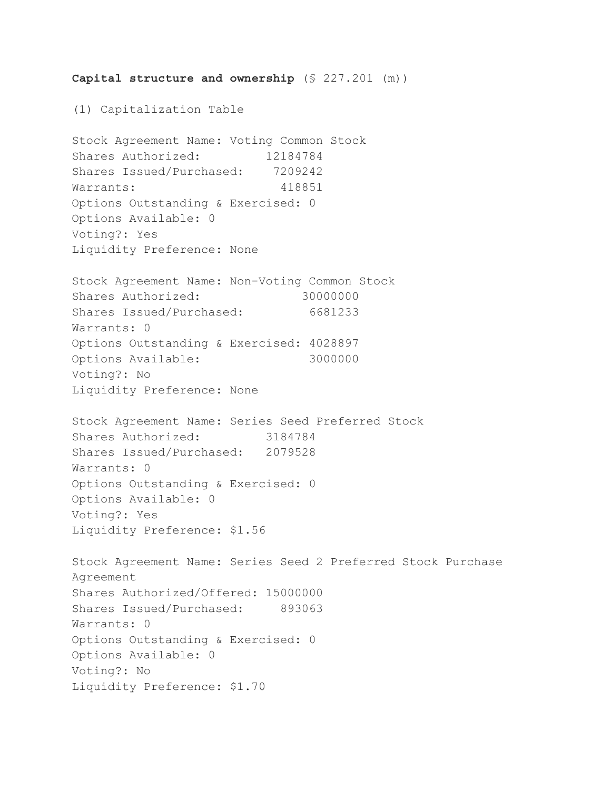**Capital structure and ownership** (§ 227.201 (m)) (1) Capitalization Table Stock Agreement Name: Voting Common Stock Shares Authorized: 12184784 Shares Issued/Purchased: 7209242 Warrants: 418851 Options Outstanding & Exercised: 0 Options Available: 0 Voting?: Yes Liquidity Preference: None Stock Agreement Name: Non-Voting Common Stock Shares Authorized: 30000000 Shares Issued/Purchased: 6681233 Warrants: 0 Options Outstanding & Exercised: 4028897 Options Available: 3000000 Voting?: No Liquidity Preference: None Stock Agreement Name: Series Seed Preferred Stock Shares Authorized: 3184784 Shares Issued/Purchased: 2079528 Warrants: 0 Options Outstanding & Exercised: 0 Options Available: 0 Voting?: Yes Liquidity Preference: \$1.56 Stock Agreement Name: Series Seed 2 Preferred Stock Purchase Agreement Shares Authorized/Offered: 15000000 Shares Issued/Purchased: 893063 Warrants: 0 Options Outstanding & Exercised: 0 Options Available: 0 Voting?: No Liquidity Preference: \$1.70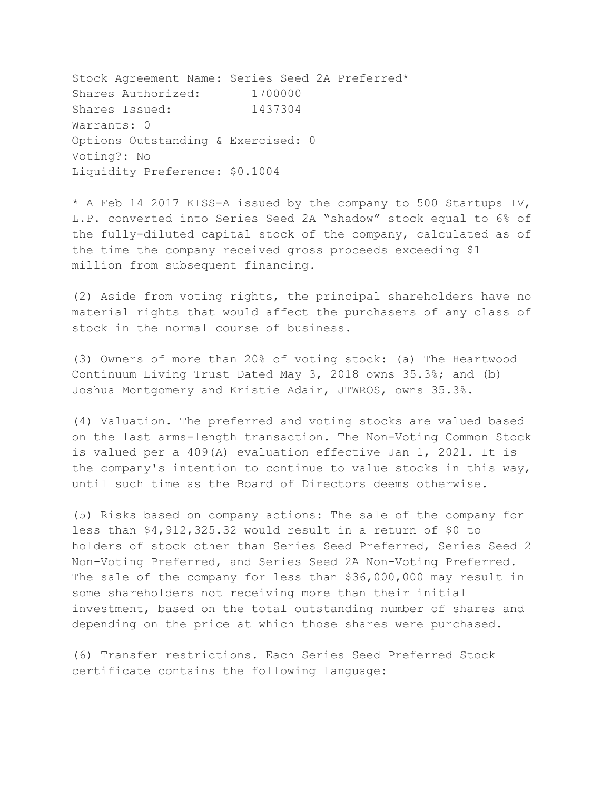Stock Agreement Name: Series Seed 2A Preferred\* Shares Authorized: 1700000 Shares Issued: 1437304 Warrants: 0 Options Outstanding & Exercised: 0 Voting?: No Liquidity Preference: \$0.1004

\* A Feb 14 2017 KISS-A issued by the company to 500 Startups IV, L.P. converted into Series Seed 2A "shadow" stock equal to 6% of the fully-diluted capital stock of the company, calculated as of the time the company received gross proceeds exceeding \$1 million from subsequent financing.

(2) Aside from voting rights, the principal shareholders have no material rights that would affect the purchasers of any class of stock in the normal course of business.

(3) Owners of more than 20% of voting stock: (a) The Heartwood Continuum Living Trust Dated May 3, 2018 owns 35.3%; and (b) Joshua Montgomery and Kristie Adair, JTWROS, owns 35.3%.

(4) Valuation. The preferred and voting stocks are valued based on the last arms-length transaction. The Non-Voting Common Stock is valued per a 409(A) evaluation effective Jan 1, 2021. It is the company's intention to continue to value stocks in this way, until such time as the Board of Directors deems otherwise.

(5) Risks based on company actions: The sale of the company for less than \$4,912,325.32 would result in a return of \$0 to holders of stock other than Series Seed Preferred, Series Seed 2 Non-Voting Preferred, and Series Seed 2A Non-Voting Preferred. The sale of the company for less than \$36,000,000 may result in some shareholders not receiving more than their initial investment, based on the total outstanding number of shares and depending on the price at which those shares were purchased.

(6) Transfer restrictions. Each Series Seed Preferred Stock certificate contains the following language: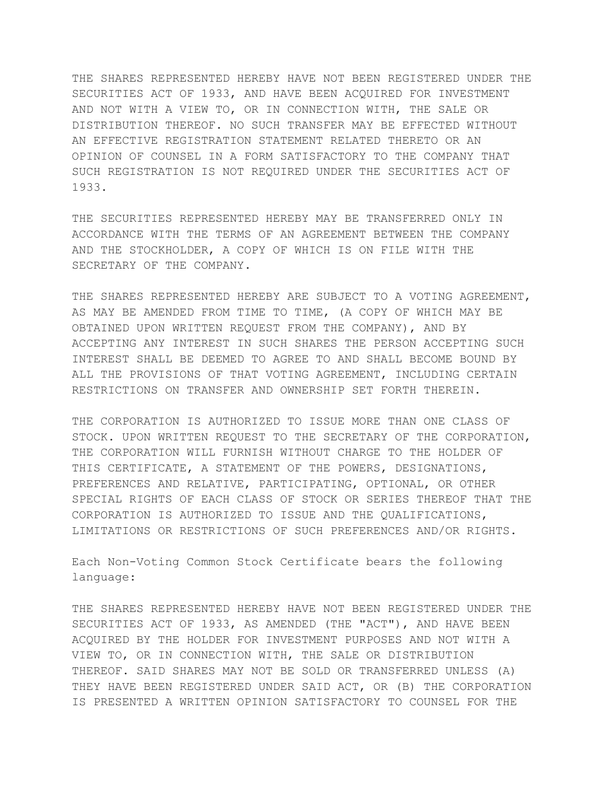THE SHARES REPRESENTED HEREBY HAVE NOT BEEN REGISTERED UNDER THE SECURITIES ACT OF 1933, AND HAVE BEEN ACQUIRED FOR INVESTMENT AND NOT WITH A VIEW TO, OR IN CONNECTION WITH, THE SALE OR DISTRIBUTION THEREOF. NO SUCH TRANSFER MAY BE EFFECTED WITHOUT AN EFFECTIVE REGISTRATION STATEMENT RELATED THERETO OR AN OPINION OF COUNSEL IN A FORM SATISFACTORY TO THE COMPANY THAT SUCH REGISTRATION IS NOT REQUIRED UNDER THE SECURITIES ACT OF 1933.

THE SECURITIES REPRESENTED HEREBY MAY BE TRANSFERRED ONLY IN ACCORDANCE WITH THE TERMS OF AN AGREEMENT BETWEEN THE COMPANY AND THE STOCKHOLDER, A COPY OF WHICH IS ON FILE WITH THE SECRETARY OF THE COMPANY.

THE SHARES REPRESENTED HEREBY ARE SUBJECT TO A VOTING AGREEMENT, AS MAY BE AMENDED FROM TIME TO TIME, (A COPY OF WHICH MAY BE OBTAINED UPON WRITTEN REQUEST FROM THE COMPANY), AND BY ACCEPTING ANY INTEREST IN SUCH SHARES THE PERSON ACCEPTING SUCH INTEREST SHALL BE DEEMED TO AGREE TO AND SHALL BECOME BOUND BY ALL THE PROVISIONS OF THAT VOTING AGREEMENT, INCLUDING CERTAIN RESTRICTIONS ON TRANSFER AND OWNERSHIP SET FORTH THEREIN.

THE CORPORATION IS AUTHORIZED TO ISSUE MORE THAN ONE CLASS OF STOCK. UPON WRITTEN REQUEST TO THE SECRETARY OF THE CORPORATION, THE CORPORATION WILL FURNISH WITHOUT CHARGE TO THE HOLDER OF THIS CERTIFICATE, A STATEMENT OF THE POWERS, DESIGNATIONS, PREFERENCES AND RELATIVE, PARTICIPATING, OPTIONAL, OR OTHER SPECIAL RIGHTS OF EACH CLASS OF STOCK OR SERIES THEREOF THAT THE CORPORATION IS AUTHORIZED TO ISSUE AND THE QUALIFICATIONS, LIMITATIONS OR RESTRICTIONS OF SUCH PREFERENCES AND/OR RIGHTS.

Each Non-Voting Common Stock Certificate bears the following language:

THE SHARES REPRESENTED HEREBY HAVE NOT BEEN REGISTERED UNDER THE SECURITIES ACT OF 1933, AS AMENDED (THE "ACT"), AND HAVE BEEN ACQUIRED BY THE HOLDER FOR INVESTMENT PURPOSES AND NOT WITH A VIEW TO, OR IN CONNECTION WITH, THE SALE OR DISTRIBUTION THEREOF. SAID SHARES MAY NOT BE SOLD OR TRANSFERRED UNLESS (A) THEY HAVE BEEN REGISTERED UNDER SAID ACT, OR (B) THE CORPORATION IS PRESENTED A WRITTEN OPINION SATISFACTORY TO COUNSEL FOR THE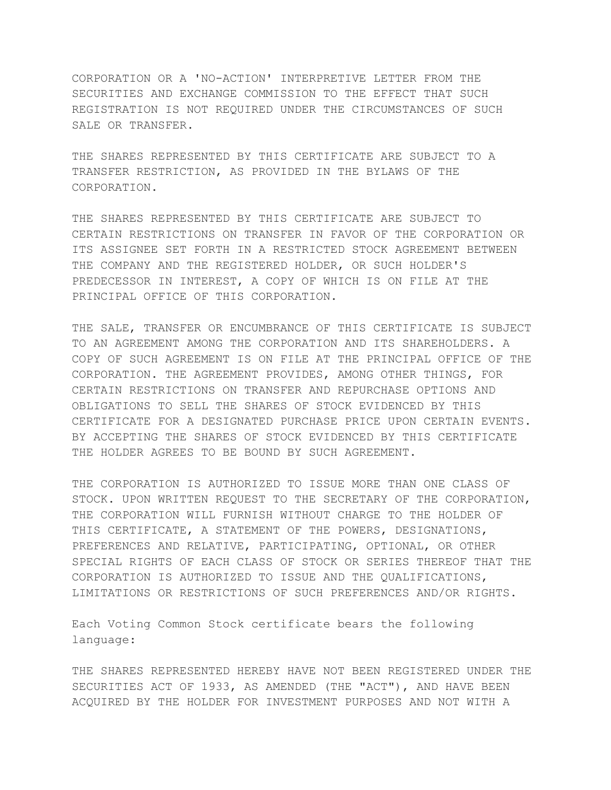CORPORATION OR A 'NO-ACTION' INTERPRETIVE LETTER FROM THE SECURITIES AND EXCHANGE COMMISSION TO THE EFFECT THAT SUCH REGISTRATION IS NOT REQUIRED UNDER THE CIRCUMSTANCES OF SUCH SALE OR TRANSFER.

THE SHARES REPRESENTED BY THIS CERTIFICATE ARE SUBJECT TO A TRANSFER RESTRICTION, AS PROVIDED IN THE BYLAWS OF THE CORPORATION.

THE SHARES REPRESENTED BY THIS CERTIFICATE ARE SUBJECT TO CERTAIN RESTRICTIONS ON TRANSFER IN FAVOR OF THE CORPORATION OR ITS ASSIGNEE SET FORTH IN A RESTRICTED STOCK AGREEMENT BETWEEN THE COMPANY AND THE REGISTERED HOLDER, OR SUCH HOLDER'S PREDECESSOR IN INTEREST, A COPY OF WHICH IS ON FILE AT THE PRINCIPAL OFFICE OF THIS CORPORATION.

THE SALE, TRANSFER OR ENCUMBRANCE OF THIS CERTIFICATE IS SUBJECT TO AN AGREEMENT AMONG THE CORPORATION AND ITS SHAREHOLDERS. A COPY OF SUCH AGREEMENT IS ON FILE AT THE PRINCIPAL OFFICE OF THE CORPORATION. THE AGREEMENT PROVIDES, AMONG OTHER THINGS, FOR CERTAIN RESTRICTIONS ON TRANSFER AND REPURCHASE OPTIONS AND OBLIGATIONS TO SELL THE SHARES OF STOCK EVIDENCED BY THIS CERTIFICATE FOR A DESIGNATED PURCHASE PRICE UPON CERTAIN EVENTS. BY ACCEPTING THE SHARES OF STOCK EVIDENCED BY THIS CERTIFICATE THE HOLDER AGREES TO BE BOUND BY SUCH AGREEMENT.

THE CORPORATION IS AUTHORIZED TO ISSUE MORE THAN ONE CLASS OF STOCK. UPON WRITTEN REQUEST TO THE SECRETARY OF THE CORPORATION, THE CORPORATION WILL FURNISH WITHOUT CHARGE TO THE HOLDER OF THIS CERTIFICATE, A STATEMENT OF THE POWERS, DESIGNATIONS, PREFERENCES AND RELATIVE, PARTICIPATING, OPTIONAL, OR OTHER SPECIAL RIGHTS OF EACH CLASS OF STOCK OR SERIES THEREOF THAT THE CORPORATION IS AUTHORIZED TO ISSUE AND THE QUALIFICATIONS, LIMITATIONS OR RESTRICTIONS OF SUCH PREFERENCES AND/OR RIGHTS.

Each Voting Common Stock certificate bears the following language:

THE SHARES REPRESENTED HEREBY HAVE NOT BEEN REGISTERED UNDER THE SECURITIES ACT OF 1933, AS AMENDED (THE "ACT"), AND HAVE BEEN ACQUIRED BY THE HOLDER FOR INVESTMENT PURPOSES AND NOT WITH A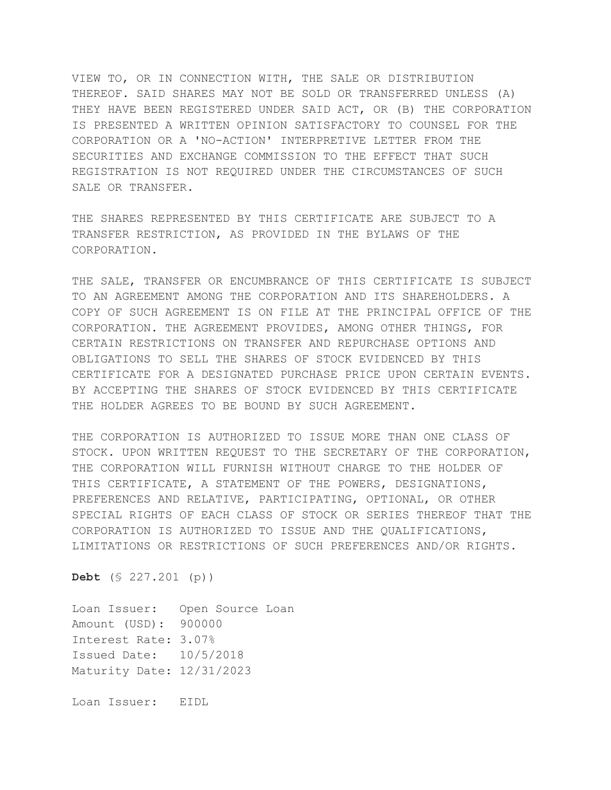VIEW TO, OR IN CONNECTION WITH, THE SALE OR DISTRIBUTION THEREOF. SAID SHARES MAY NOT BE SOLD OR TRANSFERRED UNLESS (A) THEY HAVE BEEN REGISTERED UNDER SAID ACT, OR (B) THE CORPORATION IS PRESENTED A WRITTEN OPINION SATISFACTORY TO COUNSEL FOR THE CORPORATION OR A 'NO-ACTION' INTERPRETIVE LETTER FROM THE SECURITIES AND EXCHANGE COMMISSION TO THE EFFECT THAT SUCH REGISTRATION IS NOT REQUIRED UNDER THE CIRCUMSTANCES OF SUCH SALE OR TRANSFER.

THE SHARES REPRESENTED BY THIS CERTIFICATE ARE SUBJECT TO A TRANSFER RESTRICTION, AS PROVIDED IN THE BYLAWS OF THE CORPORATION.

THE SALE, TRANSFER OR ENCUMBRANCE OF THIS CERTIFICATE IS SUBJECT TO AN AGREEMENT AMONG THE CORPORATION AND ITS SHAREHOLDERS. A COPY OF SUCH AGREEMENT IS ON FILE AT THE PRINCIPAL OFFICE OF THE CORPORATION. THE AGREEMENT PROVIDES, AMONG OTHER THINGS, FOR CERTAIN RESTRICTIONS ON TRANSFER AND REPURCHASE OPTIONS AND OBLIGATIONS TO SELL THE SHARES OF STOCK EVIDENCED BY THIS CERTIFICATE FOR A DESIGNATED PURCHASE PRICE UPON CERTAIN EVENTS. BY ACCEPTING THE SHARES OF STOCK EVIDENCED BY THIS CERTIFICATE THE HOLDER AGREES TO BE BOUND BY SUCH AGREEMENT.

THE CORPORATION IS AUTHORIZED TO ISSUE MORE THAN ONE CLASS OF STOCK. UPON WRITTEN REQUEST TO THE SECRETARY OF THE CORPORATION, THE CORPORATION WILL FURNISH WITHOUT CHARGE TO THE HOLDER OF THIS CERTIFICATE, A STATEMENT OF THE POWERS, DESIGNATIONS, PREFERENCES AND RELATIVE, PARTICIPATING, OPTIONAL, OR OTHER SPECIAL RIGHTS OF EACH CLASS OF STOCK OR SERIES THEREOF THAT THE CORPORATION IS AUTHORIZED TO ISSUE AND THE QUALIFICATIONS, LIMITATIONS OR RESTRICTIONS OF SUCH PREFERENCES AND/OR RIGHTS.

**Debt** (§ 227.201 (p))

Loan Issuer: Open Source Loan Amount (USD): 900000 Interest Rate: 3.07% Issued Date: 10/5/2018 Maturity Date: 12/31/2023

Loan Issuer: EIDL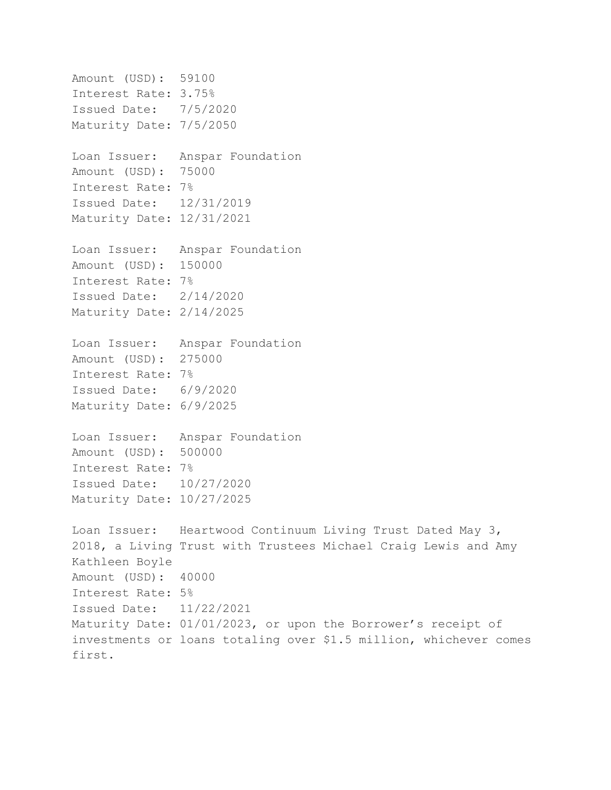```
Amount (USD): 59100
Interest Rate: 3.75%
Issued Date: 7/5/2020
Maturity Date: 7/5/2050
Loan Issuer: Anspar Foundation
Amount (USD): 75000
Interest Rate: 7%
Issued Date: 12/31/2019
Maturity Date: 12/31/2021
Loan Issuer: Anspar Foundation
Amount (USD): 150000
Interest Rate: 7%
Issued Date: 2/14/2020
Maturity Date: 2/14/2025
Loan Issuer: Anspar Foundation
Amount (USD): 275000
Interest Rate: 7%
Issued Date: 6/9/2020
Maturity Date: 6/9/2025
Loan Issuer: Anspar Foundation
Amount (USD): 500000
Interest Rate: 7%
Issued Date: 10/27/2020
Maturity Date: 10/27/2025
Loan Issuer: Heartwood Continuum Living Trust Dated May 3,
2018, a Living Trust with Trustees Michael Craig Lewis and Amy
Kathleen Boyle
Amount (USD): 40000
Interest Rate: 5%
Issued Date: 11/22/2021
Maturity Date: 01/01/2023, or upon the Borrower's receipt of
investments or loans totaling over $1.5 million, whichever comes
first.
```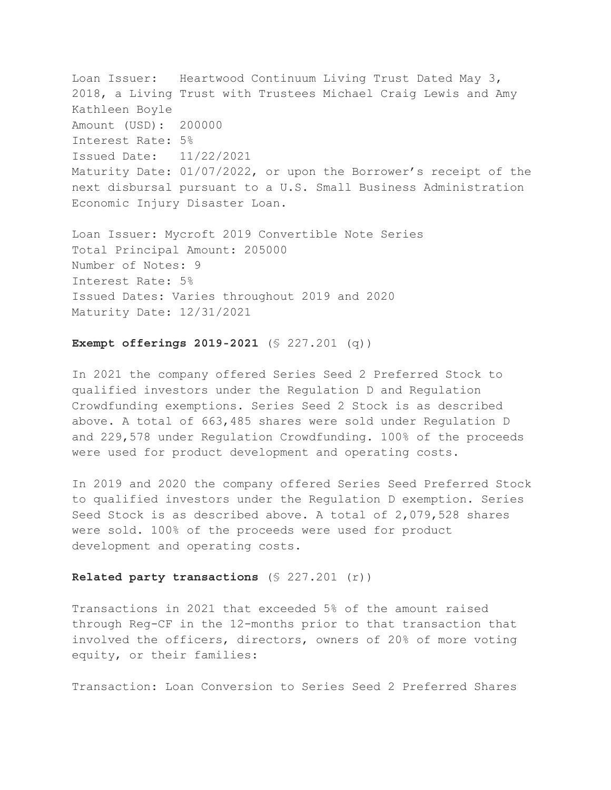Loan Issuer: Heartwood Continuum Living Trust Dated May 3, 2018, a Living Trust with Trustees Michael Craig Lewis and Amy Kathleen Boyle Amount (USD): 200000 Interest Rate: 5% Issued Date: 11/22/2021 Maturity Date: 01/07/2022, or upon the Borrower's receipt of the next disbursal pursuant to a U.S. Small Business Administration Economic Injury Disaster Loan.

Loan Issuer: Mycroft 2019 Convertible Note Series Total Principal Amount: 205000 Number of Notes: 9 Interest Rate: 5% Issued Dates: Varies throughout 2019 and 2020 Maturity Date: 12/31/2021

# **Exempt offerings 2019-2021** (§ 227.201 (q))

In 2021 the company offered Series Seed 2 Preferred Stock to qualified investors under the Regulation D and Regulation Crowdfunding exemptions. Series Seed 2 Stock is as described above. A total of 663,485 shares were sold under Regulation D and 229,578 under Regulation Crowdfunding. 100% of the proceeds were used for product development and operating costs.

In 2019 and 2020 the company offered Series Seed Preferred Stock to qualified investors under the Regulation D exemption. Series Seed Stock is as described above. A total of 2,079,528 shares were sold. 100% of the proceeds were used for product development and operating costs.

# **Related party transactions** (§ 227.201 (r))

Transactions in 2021 that exceeded 5% of the amount raised through Reg-CF in the 12-months prior to that transaction that involved the officers, directors, owners of 20% of more voting equity, or their families:

Transaction: Loan Conversion to Series Seed 2 Preferred Shares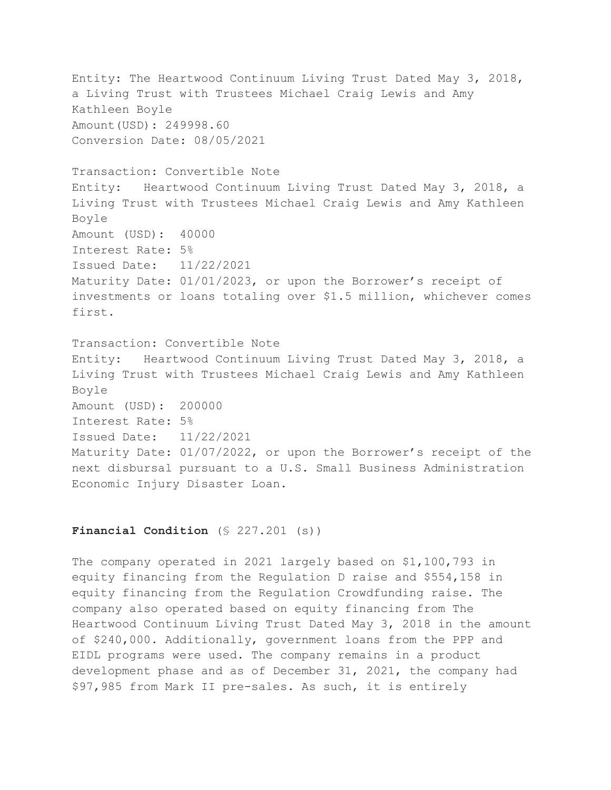Entity: The Heartwood Continuum Living Trust Dated May 3, 2018, a Living Trust with Trustees Michael Craig Lewis and Amy Kathleen Boyle Amount(USD): 249998.60 Conversion Date: 08/05/2021 Transaction: Convertible Note Entity: Heartwood Continuum Living Trust Dated May 3, 2018, a Living Trust with Trustees Michael Craig Lewis and Amy Kathleen Boyle Amount (USD): 40000 Interest Rate: 5% Issued Date: 11/22/2021 Maturity Date: 01/01/2023, or upon the Borrower's receipt of investments or loans totaling over \$1.5 million, whichever comes first. Transaction: Convertible Note Entity: Heartwood Continuum Living Trust Dated May 3, 2018, a Living Trust with Trustees Michael Craig Lewis and Amy Kathleen Boyle Amount (USD): 200000 Interest Rate: 5% Issued Date: 11/22/2021 Maturity Date: 01/07/2022, or upon the Borrower's receipt of the next disbursal pursuant to a U.S. Small Business Administration

Economic Injury Disaster Loan.

# Financial Condition (§ 227.201 (s))

The company operated in 2021 largely based on \$1,100,793 in equity financing from the Regulation D raise and \$554,158 in equity financing from the Regulation Crowdfunding raise. The company also operated based on equity financing from The Heartwood Continuum Living Trust Dated May 3, 2018 in the amount of \$240,000. Additionally, government loans from the PPP and EIDL programs were used. The company remains in a product development phase and as of December 31, 2021, the company had \$97,985 from Mark II pre-sales. As such, it is entirely